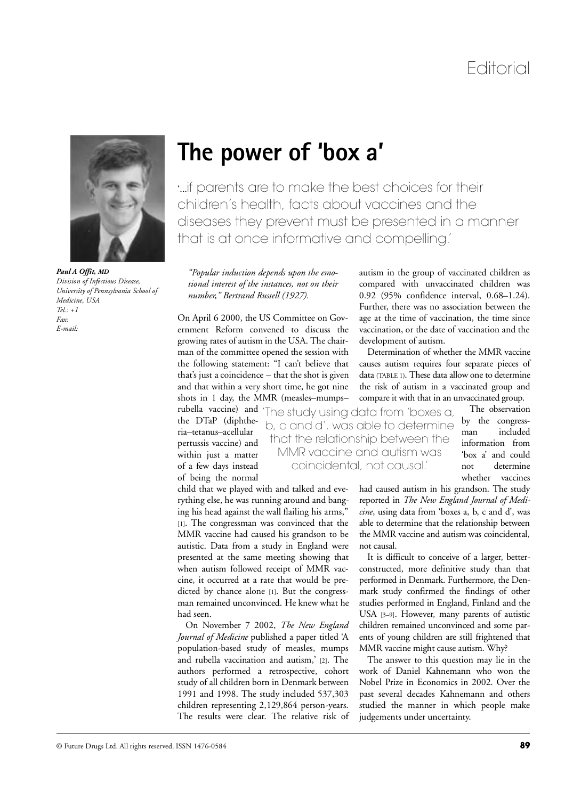

*Paul A Offit, MD Division of Infectious Disease, University of Pennsylvania School of Medicine, USA*  $T_{el}$ .  $\pm 1$ *Fax: E-mail:*

## **The power of 'box a'**

'...if parents are to make the best choices for their children's health, facts about vaccines and the diseases they prevent must be presented in a manner that is at once informative and compelling.'

*"Popular induction depends upon the emotional interest of the instances, not on their number," Bertrand Russell (1927).*

On April 6 2000, the US Committee on Government Reform convened to discuss the growing rates of autism in the USA. The chairman of the committee opened the session with the following statement: "I can't believe that that's just a coincidence – that the shot is given and that within a very short time, he got nine shots in 1 day, the MMR (measles–mumps–

child that we played with and talked and everything else, he was running around and banging his head against the wall flailing his arms," [1]. The congressman was convinced that the MMR vaccine had caused his grandson to be autistic. Data from a study in England were presented at the same meeting showing that when autism followed receipt of MMR vaccine, it occurred at a rate that would be predicted by chance alone [1]. But the congressman remained unconvinced. He knew what he

On November 7 2002, *The New England Journal of Medicine* published a paper titled 'A population-based study of measles, mumps and rubella vaccination and autism,' [2]. The authors performed a retrospective, cohort study of all children born in Denmark between 1991 and 1998. The study included 537,303 children representing 2,129,864 person-years. The results were clear. The relative risk of

the DTaP (diphtheria–tetanus–acellular pertussis vaccine) and within just a matter of a few days instead of being the normal

had seen.

rubella vaccine) and 'The study using data from 'boxes a, b, c and d', was able to determine that the relationship between the MMR vaccine and autism was coincidental, not causal.'

autism in the group of vaccinated children as compared with unvaccinated children was 0.92 (95% confidence interval, 0.68–1.24). Further, there was no association between the age at the time of vaccination, the time since vaccination, or the date of vaccination and the development of autism.

Determination of whether the MMR vaccine causes autism requires four separate pieces of data (TABLE 1). These data allow one to determine the risk of autism in a vaccinated group and compare it with that in an unvaccinated group.

> The observation by the congressman included information from 'box a' and could not determine whether vaccines

had caused autism in his grandson. The study reported in *The New England Journal of Medicine*, using data from 'boxes a, b, c and d', was able to determine that the relationship between the MMR vaccine and autism was coincidental, not causal.

It is difficult to conceive of a larger, betterconstructed, more definitive study than that performed in Denmark. Furthermore, the Denmark study confirmed the findings of other studies performed in England, Finland and the USA [3–9]. However, many parents of autistic children remained unconvinced and some parents of young children are still frightened that MMR vaccine might cause autism. Why?

The answer to this question may lie in the work of Daniel Kahnemann who won the Nobel Prize in Economics in 2002. Over the past several decades Kahnemann and others studied the manner in which people make judgements under uncertainty.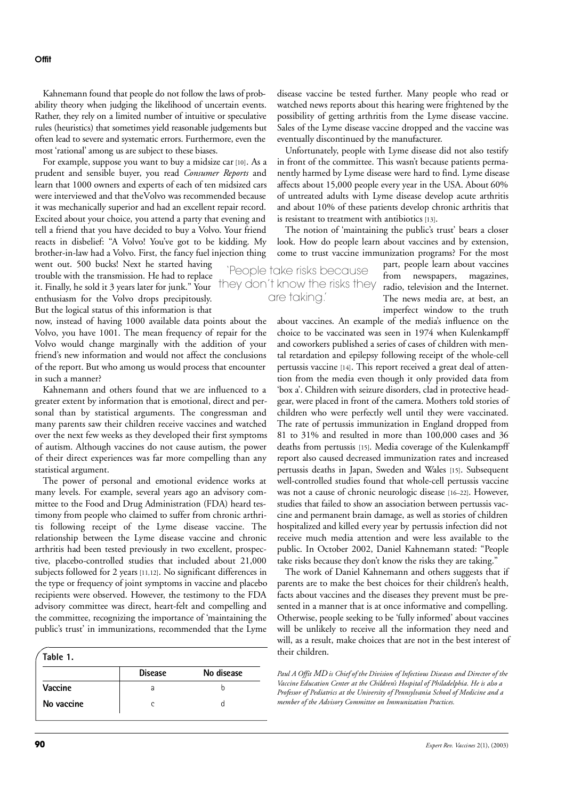Kahnemann found that people do not follow the laws of probability theory when judging the likelihood of uncertain events. Rather, they rely on a limited number of intuitive or speculative rules (heuristics) that sometimes yield reasonable judgements but often lead to severe and systematic errors. Furthermore, even the most 'rational' among us are subject to these biases.

For example, suppose you want to buy a midsize car [10]. As a prudent and sensible buyer, you read *Consumer Reports* and learn that 1000 owners and experts of each of ten midsized cars were interviewed and that the Volvo was recommended because it was mechanically superior and had an excellent repair record. Excited about your choice, you attend a party that evening and tell a friend that you have decided to buy a Volvo. Your friend reacts in disbelief: "A Volvo! You've got to be kidding. My brother-in-law had a Volvo. First, the fancy fuel injection thing

went out. 500 bucks! Next he started having trouble with the transmission. He had to replace it. Finally, he sold it 3 years later for junk." Your  $\overline{H}$  they don't know the risks they radio, television and the Internet. enthusiasm for the Volvo drops precipitously. But the logical status of this information is that

now, instead of having 1000 available data points about the Volvo, you have 1001. The mean frequency of repair for the Volvo would change marginally with the addition of your friend's new information and would not affect the conclusions of the report. But who among us would process that encounter in such a manner?

Kahnemann and others found that we are influenced to a greater extent by information that is emotional, direct and personal than by statistical arguments. The congressman and many parents saw their children receive vaccines and watched over the next few weeks as they developed their first symptoms of autism. Although vaccines do not cause autism, the power of their direct experiences was far more compelling than any statistical argument.

The power of personal and emotional evidence works at many levels. For example, several years ago an advisory committee to the Food and Drug Administration (FDA) heard testimony from people who claimed to suffer from chronic arthritis following receipt of the Lyme disease vaccine. The relationship between the Lyme disease vaccine and chronic arthritis had been tested previously in two excellent, prospective, placebo-controlled studies that included about 21,000 subjects followed for 2 years [11,12]. No significant differences in the type or frequency of joint symptoms in vaccine and placebo recipients were observed. However, the testimony to the FDA advisory committee was direct, heart-felt and compelling and the committee, recognizing the importance of 'maintaining the public's trust' in immunizations, recommended that the Lyme

| Table 1.   |                |            |
|------------|----------------|------------|
|            | <b>Disease</b> | No disease |
| Vaccine    | a              |            |
| No vaccine |                |            |

disease vaccine be tested further. Many people who read or watched news reports about this hearing were frightened by the possibility of getting arthritis from the Lyme disease vaccine. Sales of the Lyme disease vaccine dropped and the vaccine was eventually discontinued by the manufacturer.

Unfortunately, people with Lyme disease did not also testify in front of the committee. This wasn't because patients permanently harmed by Lyme disease were hard to find. Lyme disease affects about 15,000 people every year in the USA. About 60% of untreated adults with Lyme disease develop acute arthritis and about 10% of these patients develop chronic arthritis that is resistant to treatment with antibiotics [13].

The notion of 'maintaining the public's trust' bears a closer look. How do people learn about vaccines and by extension, come to trust vaccine immunization programs? For the most

'People take risks because are taking.'

part, people learn about vaccines from newspapers, magazines, The news media are, at best, an imperfect window to the truth

about vaccines. An example of the media's influence on the choice to be vaccinated was seen in 1974 when Kulenkampff and coworkers published a series of cases of children with mental retardation and epilepsy following receipt of the whole-cell pertussis vaccine [14]. This report received a great deal of attention from the media even though it only provided data from 'box a'. Children with seizure disorders, clad in protective headgear, were placed in front of the camera. Mothers told stories of children who were perfectly well until they were vaccinated. The rate of pertussis immunization in England dropped from 81 to 31% and resulted in more than 100,000 cases and 36 deaths from pertussis [15]. Media coverage of the Kulenkampff report also caused decreased immunization rates and increased pertussis deaths in Japan, Sweden and Wales [15]. Subsequent well-controlled studies found that whole-cell pertussis vaccine was not a cause of chronic neurologic disease [16–22]. However, studies that failed to show an association between pertussis vaccine and permanent brain damage, as well as stories of children hospitalized and killed every year by pertussis infection did not receive much media attention and were less available to the public. In October 2002, Daniel Kahnemann stated: "People take risks because they don't know the risks they are taking."

The work of Daniel Kahnemann and others suggests that if parents are to make the best choices for their children's health, facts about vaccines and the diseases they prevent must be presented in a manner that is at once informative and compelling. Otherwise, people seeking to be 'fully informed' about vaccines will be unlikely to receive all the information they need and will, as a result, make choices that are not in the best interest of their children.

*Paul A Offit MD is Chief of the Division of Infectious Diseases and Director of the Vaccine Education Center at the Children's Hospital of Philadelphia. He is also a Professor of Pediatrics at the University of Pennsylvania School of Medicine and a member of the Advisory Committee on Immunization Practices.*